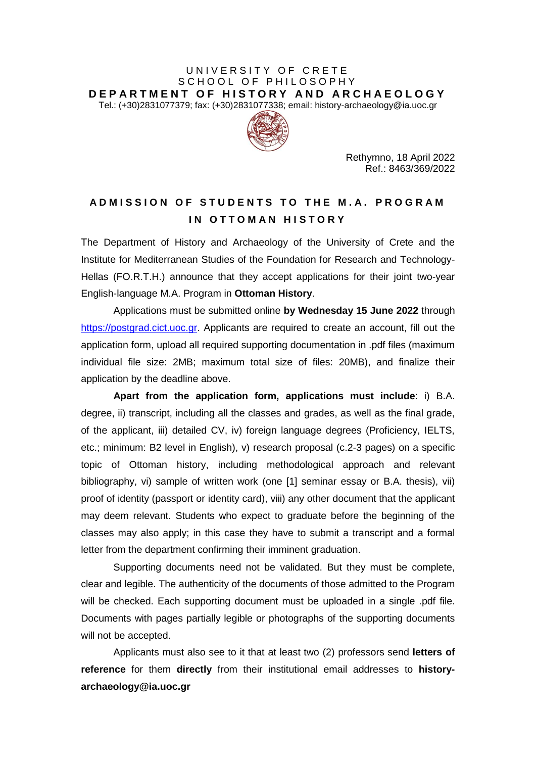## UNIVERSITY OF CRETE SCHOOL OF PHILOSOPHY **D E P A R T M E N T O F H I S T O R Y A N D A R C H A E O L O G Y** Τel.: (+30)2831077379; fax: (+30)2831077338; email: history-archaeology@ia.uoc.gr



Rethymno, 18 April 2022 Ref.: 8463/369/2022

## **A D M I S S I O N O F S T U D E N T S T O T H E M . A . P R O G R A M IN OTTOMAN HISTORY**

Τhe Department of History and Archaeology of the University of Crete and the Institute for Mediterranean Studies of the Foundation for Research and Technology-Hellas (FO.R.T.H.) announce that they accept applications for their joint two-year English-language M.A. Program in **Ottoman History**.

Applications must be submitted online **by Wednesday 15 June 2022** through [https://postgrad.cict.uoc.gr.](https://postgrad.cict.uoc.gr/) Applicants are required to create an account, fill out the application form, upload all required supporting documentation in .pdf files (maximum individual file size: 2MB; maximum total size of files: 20MB), and finalize their application by the deadline above.

**Apart from the application form, applications must include**: i) B.A. degree, ii) transcript, including all the classes and grades, as well as the final grade, of the applicant, iii) detailed CV, iv) foreign language degrees (Proficiency, IELTS, etc.; minimum: B2 level in English), v) research proposal (c.2-3 pages) on a specific topic of Ottoman history, including methodological approach and relevant bibliography, vi) sample of written work (one [1] seminar essay or B.A. thesis), vii) proof of identity (passport or identity card), viii) any other document that the applicant may deem relevant. Students who expect to graduate before the beginning of the classes may also apply; in this case they have to submit a transcript and a formal letter from the department confirming their imminent graduation.

Supporting documents need not be validated. But they must be complete, clear and legible. The authenticity of the documents of those admitted to the Program will be checked. Each supporting document must be uploaded in a single .pdf file. Documents with pages partially legible or photographs of the supporting documents will not be accepted.

Applicants must also see to it that at least two (2) professors send **letters of reference** for them **directly** from their institutional email addresses to **historyarchaeology@ia.uoc.gr**